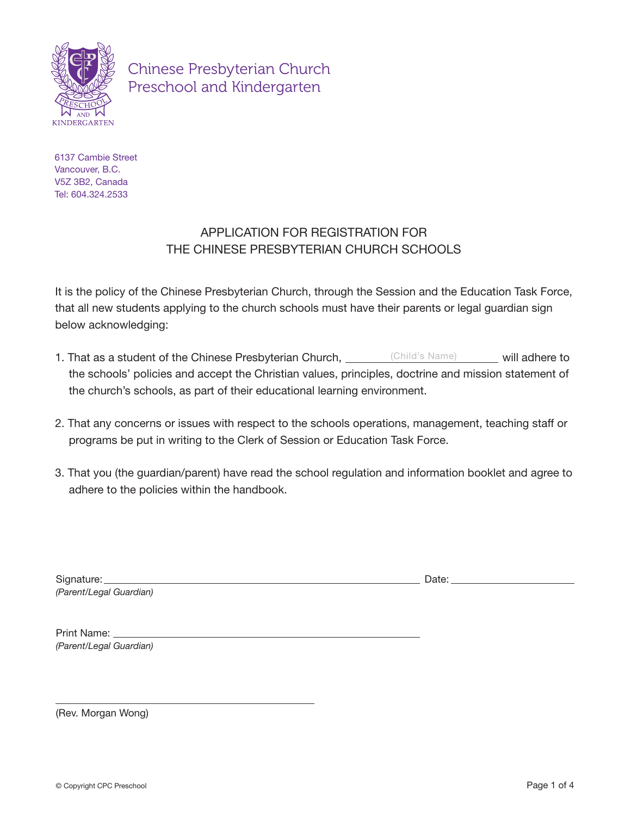

Chinese Presbyterian Church Preschool and Kindergarten

6137 Cambie Street Vancouver, B.C. V5Z 3B2, Canada Tel: 604.324.2533

## APPLICATION FOR REGISTRATION FOR THE CHINESE PRESBYTERIAN CHURCH SCHOOLS

It is the policy of the Chinese Presbyterian Church, through the Session and the Education Task Force, that all new students applying to the church schools must have their parents or legal guardian sign below acknowledging:

- 1. That as a student of the Chinese Presbyterian Church, <u>will adhere to child's Name</u> will adhere to the schools' policies and accept the Christian values, principles, doctrine and mission statement of the church's schools, as part of their educational learning environment.
- 2. That any concerns or issues with respect to the schools operations, management, teaching staff or programs be put in writing to the Clerk of Session or Education Task Force.
- 3. That you (the guardian/parent) have read the school regulation and information booklet and agree to adhere to the policies within the handbook.

| Signature:              |
|-------------------------|
| (Parent/Legal Guardian) |

Date:

Print Name: *(Parent/Legal Guardian)*

(Rev. Morgan Wong)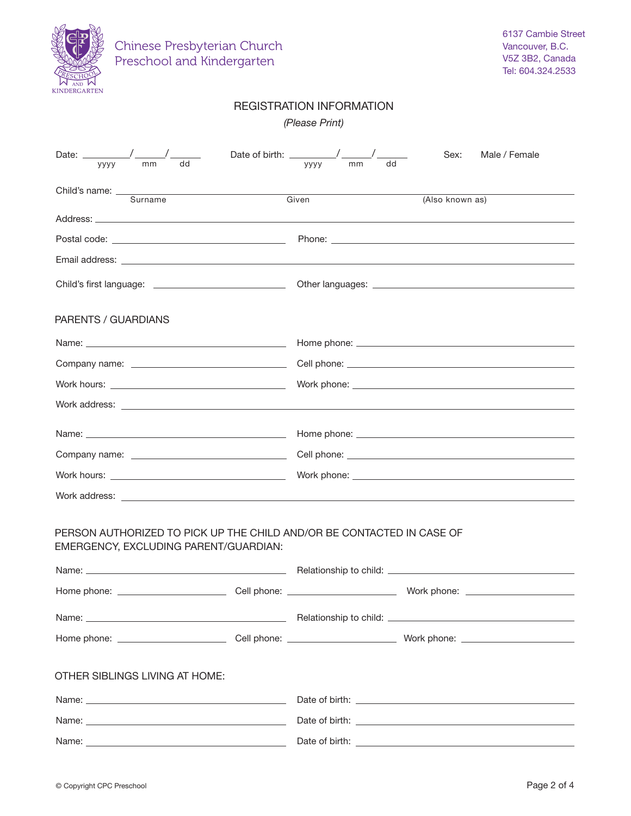| Chinese Presbyterian Church<br>Preschool and Kindergarten                                                                                                                                                                            |  |                                                           |                 | 6137 Cambie Street<br>Vancouver, B.C.<br>V5Z 3B2, Canada<br>Tel: 604.324.2533 |
|--------------------------------------------------------------------------------------------------------------------------------------------------------------------------------------------------------------------------------------|--|-----------------------------------------------------------|-----------------|-------------------------------------------------------------------------------|
|                                                                                                                                                                                                                                      |  | <b>REGISTRATION INFORMATION</b><br>(Please Print)         |                 |                                                                               |
| Date: $\_\_\_\_\_\_\_\_$<br>mm<br><b>VYVV</b>                                                                                                                                                                                        |  | Date of birth: _________/ ____<br>mm<br><b>YYYY</b><br>dd | Sex:            | Male / Female                                                                 |
| Child's name: <u>Commander Child's name</u>                                                                                                                                                                                          |  | Given                                                     | (Also known as) |                                                                               |
|                                                                                                                                                                                                                                      |  |                                                           |                 |                                                                               |
|                                                                                                                                                                                                                                      |  |                                                           |                 |                                                                               |
|                                                                                                                                                                                                                                      |  |                                                           |                 |                                                                               |
|                                                                                                                                                                                                                                      |  |                                                           |                 |                                                                               |
| PARENTS / GUARDIANS                                                                                                                                                                                                                  |  |                                                           |                 |                                                                               |
|                                                                                                                                                                                                                                      |  |                                                           |                 |                                                                               |
|                                                                                                                                                                                                                                      |  |                                                           |                 |                                                                               |
|                                                                                                                                                                                                                                      |  |                                                           |                 |                                                                               |
|                                                                                                                                                                                                                                      |  |                                                           |                 |                                                                               |
|                                                                                                                                                                                                                                      |  |                                                           |                 |                                                                               |
|                                                                                                                                                                                                                                      |  |                                                           |                 |                                                                               |
|                                                                                                                                                                                                                                      |  |                                                           |                 |                                                                               |
| Work address: <u>contract and contract and contract and contract and contract and contract and contract and contract of the set of the set of the set of the set of the set of the set of the set of the set of the set of the s</u> |  |                                                           |                 |                                                                               |
| PERSON AUTHORIZED TO PICK UP THE CHILD AND/OR BE CONTACTED IN CASE OF<br>EMERGENCY, EXCLUDING PARENT/GUARDIAN:                                                                                                                       |  |                                                           |                 |                                                                               |
|                                                                                                                                                                                                                                      |  |                                                           |                 |                                                                               |
|                                                                                                                                                                                                                                      |  |                                                           |                 |                                                                               |
|                                                                                                                                                                                                                                      |  |                                                           |                 |                                                                               |
|                                                                                                                                                                                                                                      |  |                                                           |                 |                                                                               |
| OTHER SIBLINGS LIVING AT HOME:                                                                                                                                                                                                       |  |                                                           |                 |                                                                               |
|                                                                                                                                                                                                                                      |  |                                                           |                 |                                                                               |
|                                                                                                                                                                                                                                      |  |                                                           |                 |                                                                               |
|                                                                                                                                                                                                                                      |  |                                                           |                 |                                                                               |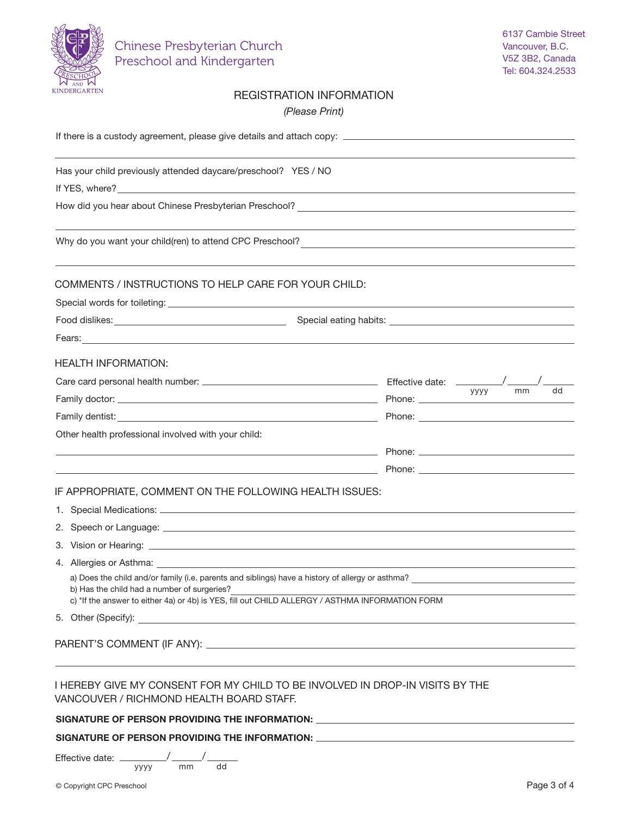

## REGISTRATION INFORMATION

*(Please Print)*

| Has your child previously attended daycare/preschool? YES / NO                                                                                                                                                                                     |                  |  |  |  |
|----------------------------------------------------------------------------------------------------------------------------------------------------------------------------------------------------------------------------------------------------|------------------|--|--|--|
|                                                                                                                                                                                                                                                    |                  |  |  |  |
|                                                                                                                                                                                                                                                    |                  |  |  |  |
|                                                                                                                                                                                                                                                    |                  |  |  |  |
| COMMENTS / INSTRUCTIONS TO HELP CARE FOR YOUR CHILD:                                                                                                                                                                                               |                  |  |  |  |
|                                                                                                                                                                                                                                                    |                  |  |  |  |
|                                                                                                                                                                                                                                                    |                  |  |  |  |
| Fears: Executive Contract of the Contract of the Contract of the Contract of the Contract of the Contract of the Contract of the Contract of the Contract of the Contract of the Contract of the Contract of the Contract of t                     |                  |  |  |  |
| <b>HEALTH INFORMATION:</b>                                                                                                                                                                                                                         |                  |  |  |  |
|                                                                                                                                                                                                                                                    |                  |  |  |  |
|                                                                                                                                                                                                                                                    | dd<br>mm<br>уууу |  |  |  |
|                                                                                                                                                                                                                                                    |                  |  |  |  |
| Other health professional involved with your child:                                                                                                                                                                                                |                  |  |  |  |
| the control of the control of the control of the control of the control of the control of                                                                                                                                                          |                  |  |  |  |
| <u> 1989 - Andrea Brand, Amerikaansk politiker († 1908)</u>                                                                                                                                                                                        |                  |  |  |  |
| IF APPROPRIATE, COMMENT ON THE FOLLOWING HEALTH ISSUES:                                                                                                                                                                                            |                  |  |  |  |
|                                                                                                                                                                                                                                                    |                  |  |  |  |
|                                                                                                                                                                                                                                                    |                  |  |  |  |
|                                                                                                                                                                                                                                                    |                  |  |  |  |
|                                                                                                                                                                                                                                                    |                  |  |  |  |
| a) Does the child and/or family (i.e. parents and siblings) have a history of allergy or asthma?<br>b) Has the child had a number of surgeries?<br>c) *If the answer to either 4a) or 4b) is YES, fill out CHILD ALLERGY / ASTHMA INFORMATION FORM |                  |  |  |  |
|                                                                                                                                                                                                                                                    |                  |  |  |  |
|                                                                                                                                                                                                                                                    |                  |  |  |  |
| I HEREBY GIVE MY CONSENT FOR MY CHILD TO BE INVOLVED IN DROP-IN VISITS BY THE<br>VANCOUVER / RICHMOND HEALTH BOARD STAFF.                                                                                                                          |                  |  |  |  |
| SIGNATURE OF PERSON PROVIDING THE INFORMATION: _________________________________                                                                                                                                                                   |                  |  |  |  |
| SIGNATURE OF PERSON PROVIDING THE INFORMATION: _________________________________                                                                                                                                                                   |                  |  |  |  |

Effective date: \_ yyyy  $\frac{1}{2}$ mm dd